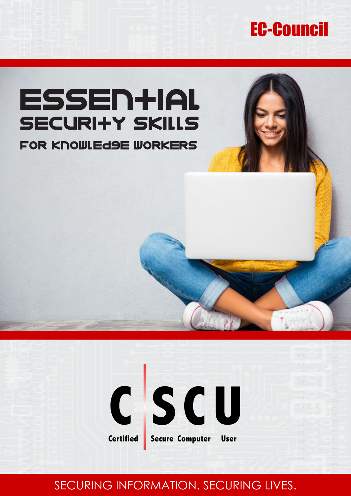

# ESSEN+IAL **SECURI+Y SKILLS FOR KNOWLEDSE WORKERS**

# **C SCU Certified Secure Computer User**

SECURING INFORMATION. SECURING LIVES.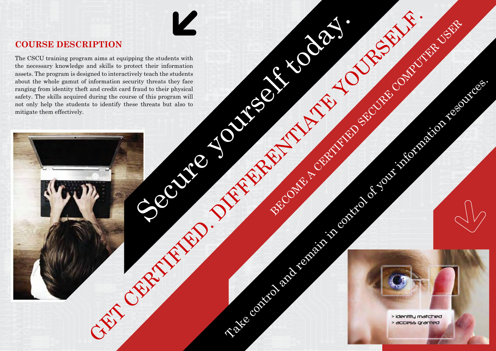

### **COURSE DESCRIPTION**

ing the students with<br>eet their information<br>of this program will be students they fine<br>this program will be there physical<br>et these totals on the studies to The CSCU training program aims at equipping the students with the necessary knowledge and skills to protect their information assets. The program is designed to interactively teach the students about the whole gamut of information security threats they face ranging from identity theft and credit card fraud to their physical safety. The skills acquired during the course of this program will not only help the students to identify these threats but also to mitigate them effectively.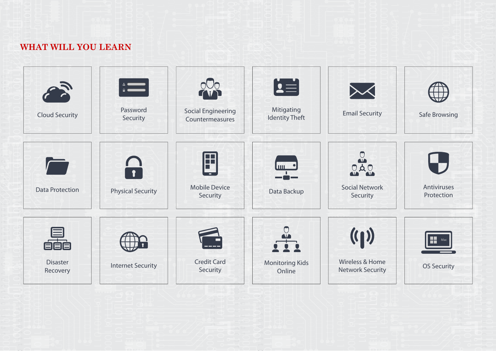## **WHAT WILL YOU LEARN**

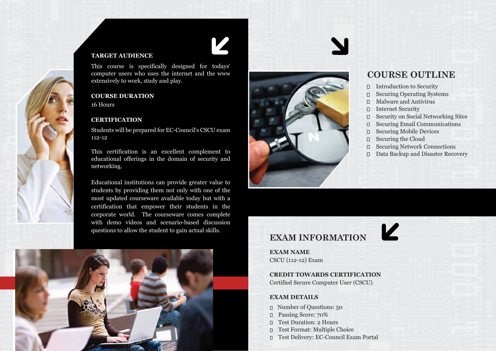



#### **TARGET AUDIENCE**

#### **COURSE DURATION**

16 Hours

#### **CERTIFICATION**

Educational institutions can provide greater value to students by providing them not only with one of the most updated courseware available today but with a certification that empower their students in the corporate world. The courseware comes complete with demo videos and scenario-based discussion questions to allow the student to gain actual skills.





## $\Box$  $\Box$  $\Box$  $\Box$  $\overline{\Pi}$  $\Box$  $\Box$  $\Box$  $\Box$

 $\Box$ 

Students will be prepared for EC-Council's CSCU exam 112-12

This certification is an excellent complement to educational offerings in the domain of security and networking.

This course is specifically designed for todays' computer users who uses the internet and the www extensively to work, study and play.

## **COURSE OUTLINE**

Introduction to Security Securing Operating Systems Malware and Antivirus Internet Security Security on Social Networking Sites Securing Email Communications Securing Mobile Devices Securing the Cloud Securing Network Connections Data Backup and Disaster Recovery



# **EXAM INFORMATION**

**EXAM NAME** CSCU (112-12) Exam

**CREDIT TOWARDS CERTIFICATION** Certified Secure Computer User (CSCU)

#### **EXAM DETAILS**

- Number of Questions: 50
- **Passing Score: 70%**
- **Test Duration: 2 Hours**
- Test Format: Multiple Choice
- Test Delivery: EC-Council Exam Portal